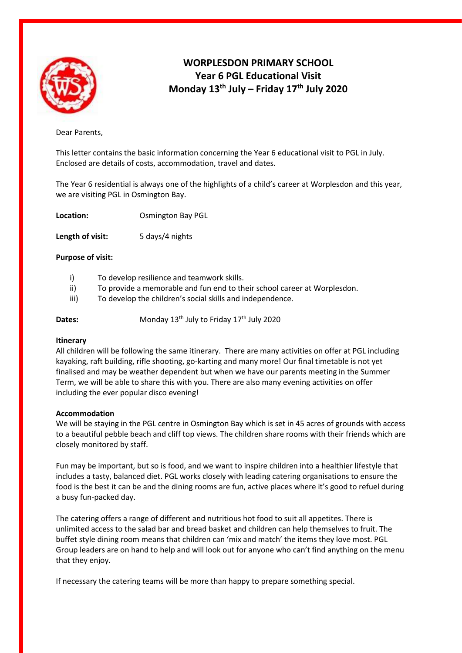

# **WORPLESDON PRIMARY SCHOOL Year 6 PGL Educational Visit Monday 13 th July – Friday 17th July 2020**

Dear Parents,

This letter contains the basic information concerning the Year 6 educational visit to PGL in July. Enclosed are details of costs, accommodation, travel and dates.

The Year 6 residential is always one of the highlights of a child's career at Worplesdon and this year, we are visiting PGL in Osmington Bay.

| <b>Osmington Bay PGL</b> |
|--------------------------|
|                          |

Length of visit: 5 days/4 nights

## **Purpose of visit:**

- i) To develop resilience and teamwork skills.
- ii) To provide a memorable and fun end to their school career at Worplesdon.
- iii) To develop the children's social skills and independence.
- **Dates:** Monday 13<sup>th</sup> July to Friday 17<sup>th</sup> July 2020

## **Itinerary**

All children will be following the same itinerary. There are many activities on offer at PGL including kayaking, raft building, rifle shooting, go-karting and many more! Our final timetable is not yet finalised and may be weather dependent but when we have our parents meeting in the Summer Term, we will be able to share this with you. There are also many evening activities on offer including the ever popular disco evening!

## **Accommodation**

We will be staying in the PGL centre in Osmington Bay which is set in 45 acres of grounds with access to a beautiful pebble beach and cliff top views. The children share rooms with their friends which are closely monitored by staff.

Fun may be important, but so is food, and we want to inspire children into a healthier lifestyle that includes a tasty, balanced diet. PGL works closely with leading catering organisations to ensure the food is the best it can be and the dining rooms are fun, active places where it's good to refuel during a busy fun-packed day.

The catering offers a range of different and nutritious hot food to suit all appetites. There is unlimited access to the salad bar and bread basket and children can help themselves to fruit. The buffet style dining room means that children can 'mix and match' the items they love most. PGL Group leaders are on hand to help and will look out for anyone who can't find anything on the menu that they enjoy.

If necessary the catering teams will be more than happy to prepare something special.